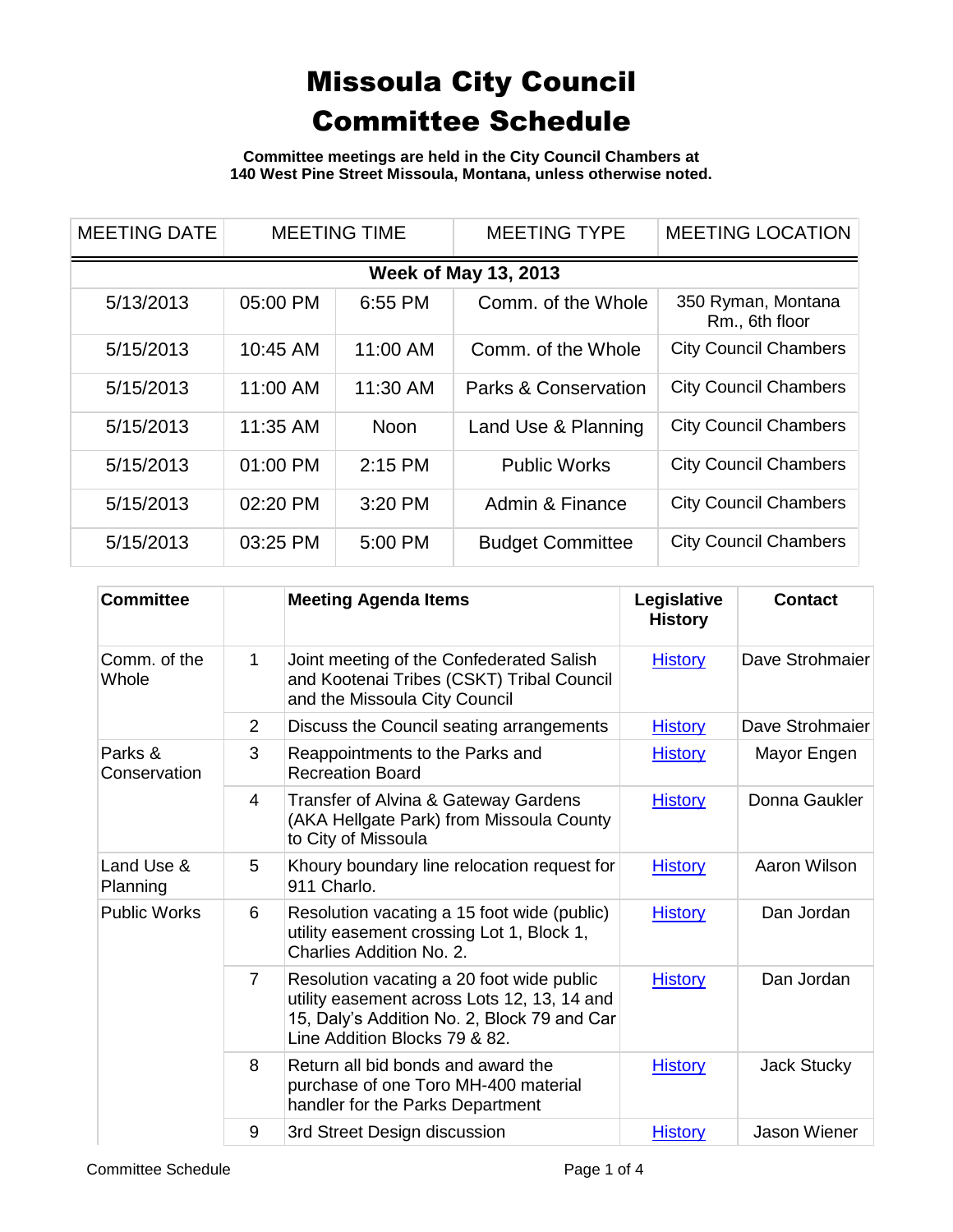**Committee meetings are held in the City Council Chambers at 140 West Pine Street Missoula, Montana, unless otherwise noted.**

| <b>MEETING DATE</b>         | <b>MEETING TIME</b> |             | <b>MEETING TYPE</b>             | <b>MEETING LOCATION</b>              |  |  |
|-----------------------------|---------------------|-------------|---------------------------------|--------------------------------------|--|--|
| <b>Week of May 13, 2013</b> |                     |             |                                 |                                      |  |  |
| 5/13/2013                   | 05:00 PM            | 6:55 PM     | Comm. of the Whole              | 350 Ryman, Montana<br>Rm., 6th floor |  |  |
| 5/15/2013                   | 10:45 AM            | 11:00 AM    | Comm. of the Whole              | <b>City Council Chambers</b>         |  |  |
| 5/15/2013                   | 11:00 AM            | 11:30 AM    | <b>Parks &amp; Conservation</b> | <b>City Council Chambers</b>         |  |  |
| 5/15/2013                   | 11:35 AM            | <b>Noon</b> | Land Use & Planning             | <b>City Council Chambers</b>         |  |  |
| 5/15/2013                   | 01:00 PM            | $2:15$ PM   | <b>Public Works</b>             | <b>City Council Chambers</b>         |  |  |
| 5/15/2013                   | 02:20 PM            | 3:20 PM     | Admin & Finance                 | <b>City Council Chambers</b>         |  |  |
| 5/15/2013                   | 03:25 PM            | 5:00 PM     | <b>Budget Committee</b>         | <b>City Council Chambers</b>         |  |  |

| <b>Committee</b>        |                | <b>Meeting Agenda Items</b>                                                                                                                                              | Legislative<br><b>History</b> | Contact             |
|-------------------------|----------------|--------------------------------------------------------------------------------------------------------------------------------------------------------------------------|-------------------------------|---------------------|
| Comm. of the<br>Whole   | 1              | Joint meeting of the Confederated Salish<br>and Kootenai Tribes (CSKT) Tribal Council<br>and the Missoula City Council                                                   | <b>History</b>                | Dave Strohmaier     |
|                         | $\overline{2}$ | Discuss the Council seating arrangements                                                                                                                                 | <b>History</b>                | Dave Strohmaier     |
| Parks &<br>Conservation | 3              | Reappointments to the Parks and<br><b>Recreation Board</b>                                                                                                               | <b>History</b>                | Mayor Engen         |
|                         | 4              | Transfer of Alvina & Gateway Gardens<br>(AKA Hellgate Park) from Missoula County<br>to City of Missoula                                                                  | <b>History</b>                | Donna Gaukler       |
| Land Use &<br>Planning  | 5              | Khoury boundary line relocation request for<br>911 Charlo.                                                                                                               | <b>History</b>                | Aaron Wilson        |
| <b>Public Works</b>     | 6              | Resolution vacating a 15 foot wide (public)<br>utility easement crossing Lot 1, Block 1,<br>Charlies Addition No. 2.                                                     | <b>History</b>                | Dan Jordan          |
|                         | $\overline{7}$ | Resolution vacating a 20 foot wide public<br>utility easement across Lots 12, 13, 14 and<br>15, Daly's Addition No. 2, Block 79 and Car<br>Line Addition Blocks 79 & 82. | <b>History</b>                | Dan Jordan          |
|                         | 8              | Return all bid bonds and award the<br>purchase of one Toro MH-400 material<br>handler for the Parks Department                                                           | <b>History</b>                | Jack Stucky         |
|                         | 9              | 3rd Street Design discussion                                                                                                                                             | <b>History</b>                | <b>Jason Wiener</b> |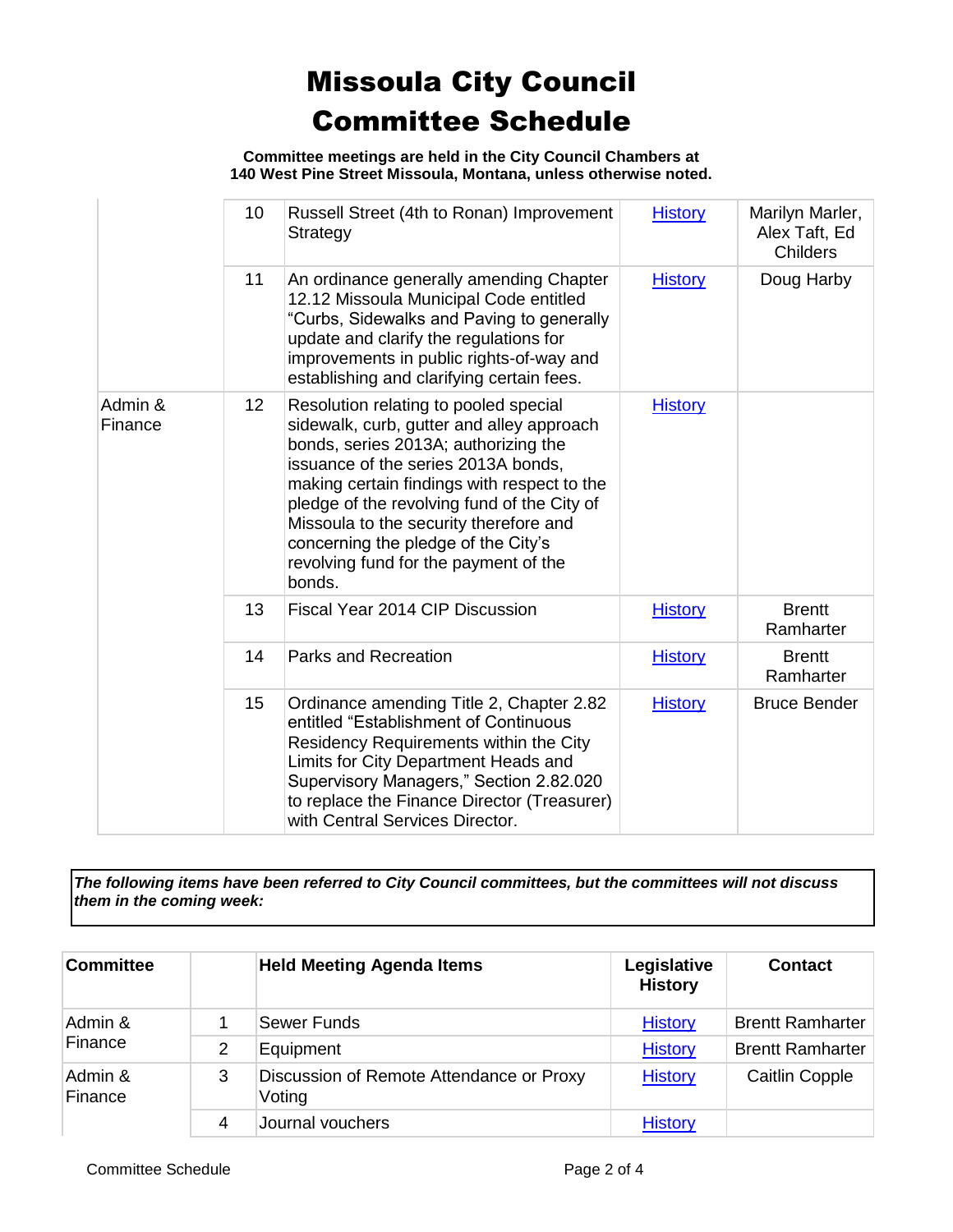**Committee meetings are held in the City Council Chambers at 140 West Pine Street Missoula, Montana, unless otherwise noted.**

|                    | 10              | Russell Street (4th to Ronan) Improvement<br>Strategy                                                                                                                                                                                                                                                                                                                                               | <b>History</b> | Marilyn Marler,<br>Alex Taft, Ed<br><b>Childers</b> |
|--------------------|-----------------|-----------------------------------------------------------------------------------------------------------------------------------------------------------------------------------------------------------------------------------------------------------------------------------------------------------------------------------------------------------------------------------------------------|----------------|-----------------------------------------------------|
|                    | 11              | An ordinance generally amending Chapter<br>12.12 Missoula Municipal Code entitled<br>"Curbs, Sidewalks and Paving to generally<br>update and clarify the regulations for<br>improvements in public rights-of-way and<br>establishing and clarifying certain fees.                                                                                                                                   | <b>History</b> | Doug Harby                                          |
| Admin &<br>Finance | 12 <sub>2</sub> | Resolution relating to pooled special<br>sidewalk, curb, gutter and alley approach<br>bonds, series 2013A; authorizing the<br>issuance of the series 2013A bonds,<br>making certain findings with respect to the<br>pledge of the revolving fund of the City of<br>Missoula to the security therefore and<br>concerning the pledge of the City's<br>revolving fund for the payment of the<br>bonds. | <b>History</b> |                                                     |
|                    | 13              | Fiscal Year 2014 CIP Discussion                                                                                                                                                                                                                                                                                                                                                                     | <b>History</b> | <b>Brentt</b><br>Ramharter                          |
|                    | 14              | <b>Parks and Recreation</b>                                                                                                                                                                                                                                                                                                                                                                         | <b>History</b> | <b>Brentt</b><br>Ramharter                          |
|                    | 15              | Ordinance amending Title 2, Chapter 2.82<br>entitled "Establishment of Continuous<br>Residency Requirements within the City<br>Limits for City Department Heads and<br>Supervisory Managers," Section 2.82.020<br>to replace the Finance Director (Treasurer)<br>with Central Services Director.                                                                                                    | <b>History</b> | <b>Bruce Bender</b>                                 |

*The following items have been referred to City Council committees, but the committees will not discuss them in the coming week:*

| Committee          |   | <b>Held Meeting Agenda Items</b>                   | Legislative<br><b>History</b> | <b>Contact</b>          |
|--------------------|---|----------------------------------------------------|-------------------------------|-------------------------|
| Admin &<br>Finance |   | Sewer Funds                                        | <b>History</b>                | <b>Brentt Ramharter</b> |
|                    | 2 | Equipment                                          | <b>History</b>                | <b>Brentt Ramharter</b> |
| Admin &<br>Finance | 3 | Discussion of Remote Attendance or Proxy<br>Voting | <b>History</b>                | <b>Caitlin Copple</b>   |
|                    | 4 | Journal vouchers                                   | <b>History</b>                |                         |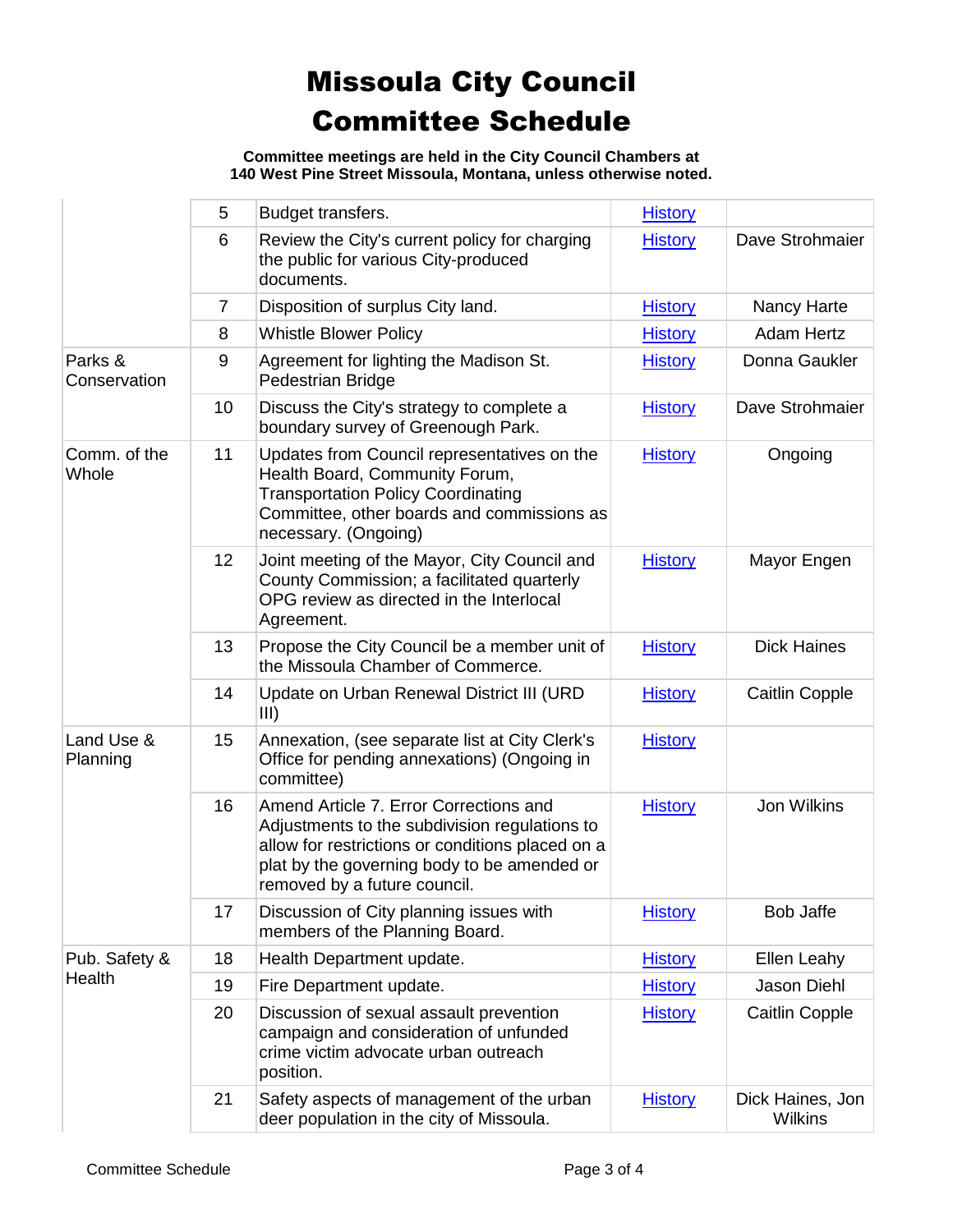**Committee meetings are held in the City Council Chambers at 140 West Pine Street Missoula, Montana, unless otherwise noted.**

|                         | 5              | Budget transfers.                                                                                                                                                                                                          | <b>History</b> |                             |
|-------------------------|----------------|----------------------------------------------------------------------------------------------------------------------------------------------------------------------------------------------------------------------------|----------------|-----------------------------|
|                         | 6              | Review the City's current policy for charging<br>the public for various City-produced<br>documents.                                                                                                                        | <b>History</b> | Dave Strohmaier             |
|                         | $\overline{7}$ | Disposition of surplus City land.                                                                                                                                                                                          | <b>History</b> | Nancy Harte                 |
|                         | 8              | <b>Whistle Blower Policy</b>                                                                                                                                                                                               | <b>History</b> | Adam Hertz                  |
| Parks &<br>Conservation | 9              | Agreement for lighting the Madison St.<br>Pedestrian Bridge                                                                                                                                                                | <b>History</b> | Donna Gaukler               |
|                         | 10             | Discuss the City's strategy to complete a<br>boundary survey of Greenough Park.                                                                                                                                            | <b>History</b> | Dave Strohmaier             |
| Comm. of the<br>Whole   | 11             | Updates from Council representatives on the<br>Health Board, Community Forum,<br><b>Transportation Policy Coordinating</b><br>Committee, other boards and commissions as<br>necessary. (Ongoing)                           | <b>History</b> | Ongoing                     |
|                         | 12             | Joint meeting of the Mayor, City Council and<br>County Commission; a facilitated quarterly<br>OPG review as directed in the Interlocal<br>Agreement.                                                                       | <b>History</b> | Mayor Engen                 |
|                         | 13             | Propose the City Council be a member unit of<br>the Missoula Chamber of Commerce.                                                                                                                                          | <b>History</b> | <b>Dick Haines</b>          |
|                         | 14             | Update on Urban Renewal District III (URD<br>III)                                                                                                                                                                          | <b>History</b> | <b>Caitlin Copple</b>       |
| Land Use &<br>Planning  | 15             | Annexation, (see separate list at City Clerk's<br>Office for pending annexations) (Ongoing in<br>committee)                                                                                                                | <b>History</b> |                             |
|                         | 16             | Amend Article 7. Error Corrections and<br>Adjustments to the subdivision regulations to<br>allow for restrictions or conditions placed on a<br>plat by the governing body to be amended or<br>removed by a future council. | <b>History</b> | Jon Wilkins                 |
|                         | 17             | Discussion of City planning issues with<br>members of the Planning Board.                                                                                                                                                  | <b>History</b> | Bob Jaffe                   |
| Pub. Safety &           | 18             | Health Department update.                                                                                                                                                                                                  | <b>History</b> | Ellen Leahy                 |
| Health                  | 19             | Fire Department update.                                                                                                                                                                                                    | <b>History</b> | Jason Diehl                 |
|                         | 20             | Discussion of sexual assault prevention<br>campaign and consideration of unfunded<br>crime victim advocate urban outreach<br>position.                                                                                     | <b>History</b> | <b>Caitlin Copple</b>       |
|                         | 21             | Safety aspects of management of the urban<br>deer population in the city of Missoula.                                                                                                                                      | <b>History</b> | Dick Haines, Jon<br>Wilkins |